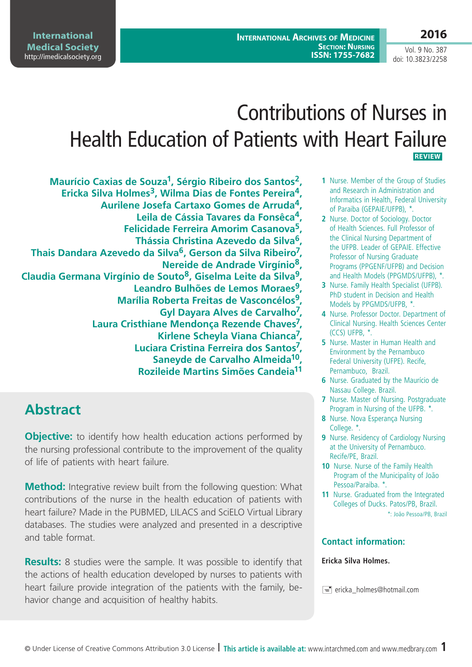**2016**

Vol. 9 No. 387 doi: 10.3823/2258

# Contributions of Nurses in Health Education of Patients with Heart Failure  **REVIEW**

**Maurício Caxias de Souza1, Sérgio Ribeiro dos Santos2,**  Ericka Silva Holmes<sup>3</sup>, Wilma Dias de Fontes Pereira<sup>4</sup>, **Aurilene Josefa Cartaxo Gomes de Arruda4, Leila de Cássia Tavares da Fonsêca4, Felicidade Ferreira Amorim Casanova5, Thássia Christina Azevedo da Silva6, Thais Dandara Azevedo da Silva6, Gerson da Silva Ribeiro7, Nereide de Andrade Virgínio8, Claudia Germana Virgínio de Souto8, Giselma Leite da Silva9, Leandro Bulhões de Lemos Moraes9, Marília Roberta Freitas de Vasconcélos9, Gyl Dayara Alves de Carvalho7, Laura Cristhiane Mendonça Rezende Chaves7, Kirlene Scheyla Viana Chianca7, Luciara Cristina Ferreira dos Santos7, Saneyde de Carvalho Almeida10, Rozileide Martins Simões Candeia11**

# **Abstract**

**Objective:** to identify how health education actions performed by the nursing professional contribute to the improvement of the quality of life of patients with heart failure.

**Method:** Integrative review built from the following question: What contributions of the nurse in the health education of patients with heart failure? Made in the PUBMED, LILACS and SciELO Virtual Library databases. The studies were analyzed and presented in a descriptive and table format.

**Results:** 8 studies were the sample. It was possible to identify that the actions of health education developed by nurses to patients with heart failure provide integration of the patients with the family, behavior change and acquisition of healthy habits.

- **1** Nurse. Member of the Group of Studies and Research in Administration and Informatics in Health, Federal University of Paraiba (GEPAIE/UFPB), \*.
- **2** Nurse. Doctor of Sociology. Doctor of Health Sciences. Full Professor of the Clinical Nursing Department of the UFPB. Leader of GEPAIE. Effective Professor of Nursing Graduate Programs (PPGENF/UFPB) and Decision and Health Models (PPGMDS/UFPB), \*.
- **3** Nurse. Family Health Specialist (UFPB). PhD student in Decision and Health Models by PPGMDS/UFPB, \*.
- **4** Nurse. Professor Doctor. Department of Clinical Nursing. Health Sciences Center (CCS) UFPB, \*.
- **5** Nurse. Master in Human Health and Environment by the Pernambuco Federal University (UFPE). Recife, Pernambuco, Brazil.
- **6** Nurse. Graduated by the Maurício de Nassau College. Brazil.
- **7** Nurse. Master of Nursing. Postgraduate Program in Nursing of the UFPB. \*.
- **8** Nurse. Nova Esperança Nursing College. \*.
- **9** Nurse. Residency of Cardiology Nursing at the University of Pernambuco. Recife/PE, Brazil.
- **10** Nurse. Nurse of the Family Health Program of the Municipality of João Pessoa/Paraiba. \*.
- **11** Nurse. Graduated from the Integrated Colleges of Ducks. Patos/PB, Brazil. \*: João Pessoa/PB, Brazil

#### **Contact information:**

#### **Ericka Silva Holmes.**

 $\equiv$  ericka holmes@hotmail.com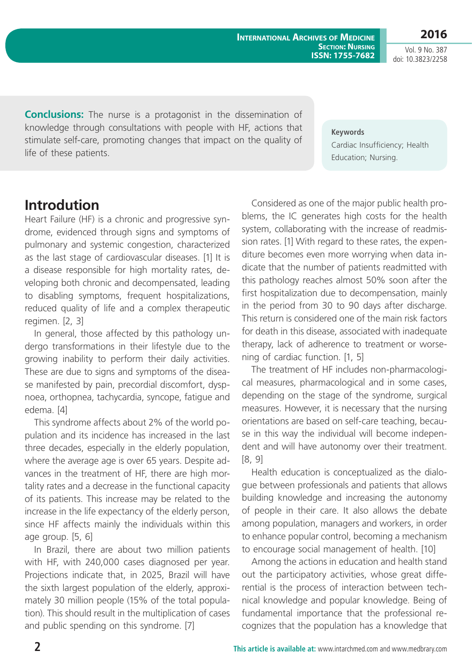**2016**

Vol. 9 No. 387 doi: 10.3823/2258

**Conclusions:** The nurse is a protagonist in the dissemination of knowledge through consultations with people with HF, actions that stimulate self-care, promoting changes that impact on the quality of life of these patients.

**Keywords**

Cardiac Insufficiency; Health Education; Nursing.

### **Introdution**

Heart Failure (HF) is a chronic and progressive syndrome, evidenced through signs and symptoms of pulmonary and systemic congestion, characterized as the last stage of cardiovascular diseases. [1] It is a disease responsible for high mortality rates, developing both chronic and decompensated, leading to disabling symptoms, frequent hospitalizations, reduced quality of life and a complex therapeutic regimen. [2, 3]

In general, those affected by this pathology undergo transformations in their lifestyle due to the growing inability to perform their daily activities. These are due to signs and symptoms of the disease manifested by pain, precordial discomfort, dyspnoea, orthopnea, tachycardia, syncope, fatigue and edema. [4]

This syndrome affects about 2% of the world population and its incidence has increased in the last three decades, especially in the elderly population, where the average age is over 65 years. Despite advances in the treatment of HF, there are high mortality rates and a decrease in the functional capacity of its patients. This increase may be related to the increase in the life expectancy of the elderly person, since HF affects mainly the individuals within this age group. [5, 6]

In Brazil, there are about two million patients with HF, with 240,000 cases diagnosed per year. Projections indicate that, in 2025, Brazil will have the sixth largest population of the elderly, approximately 30 million people (15% of the total population). This should result in the multiplication of cases and public spending on this syndrome. [7]

Considered as one of the major public health problems, the IC generates high costs for the health system, collaborating with the increase of readmission rates. [1] With regard to these rates, the expenditure becomes even more worrying when data indicate that the number of patients readmitted with this pathology reaches almost 50% soon after the first hospitalization due to decompensation, mainly in the period from 30 to 90 days after discharge. This return is considered one of the main risk factors for death in this disease, associated with inadequate therapy, lack of adherence to treatment or worsening of cardiac function. [1, 5]

The treatment of HF includes non-pharmacological measures, pharmacological and in some cases, depending on the stage of the syndrome, surgical measures. However, it is necessary that the nursing orientations are based on self-care teaching, because in this way the individual will become independent and will have autonomy over their treatment. [8, 9]

Health education is conceptualized as the dialogue between professionals and patients that allows building knowledge and increasing the autonomy of people in their care. It also allows the debate among population, managers and workers, in order to enhance popular control, becoming a mechanism to encourage social management of health. [10]

Among the actions in education and health stand out the participatory activities, whose great differential is the process of interaction between technical knowledge and popular knowledge. Being of fundamental importance that the professional recognizes that the population has a knowledge that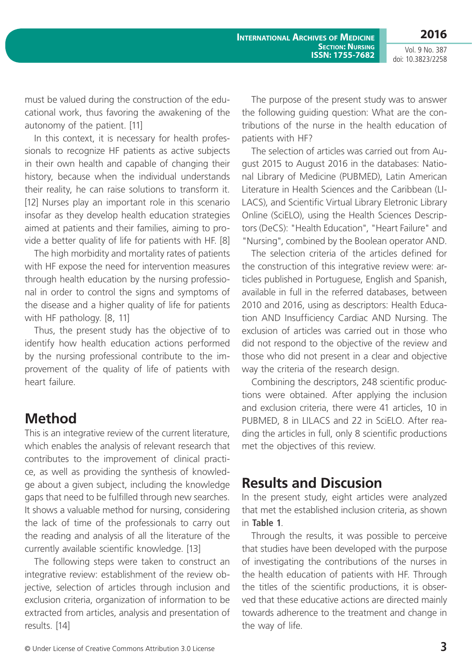**2016**

Vol. 9 No. 387 doi: 10.3823/2258

must be valued during the construction of the educational work, thus favoring the awakening of the autonomy of the patient. [11]

In this context, it is necessary for health professionals to recognize HF patients as active subjects in their own health and capable of changing their history, because when the individual understands their reality, he can raise solutions to transform it. [12] Nurses play an important role in this scenario insofar as they develop health education strategies aimed at patients and their families, aiming to provide a better quality of life for patients with HF. [8]

The high morbidity and mortality rates of patients with HF expose the need for intervention measures through health education by the nursing professional in order to control the signs and symptoms of the disease and a higher quality of life for patients with HF pathology. [8, 11]

Thus, the present study has the objective of to identify how health education actions performed by the nursing professional contribute to the improvement of the quality of life of patients with heart failure.

### **Method**

This is an integrative review of the current literature, which enables the analysis of relevant research that contributes to the improvement of clinical practice, as well as providing the synthesis of knowledge about a given subject, including the knowledge gaps that need to be fulfilled through new searches. It shows a valuable method for nursing, considering the lack of time of the professionals to carry out the reading and analysis of all the literature of the currently available scientific knowledge. [13]

The following steps were taken to construct an integrative review: establishment of the review objective, selection of articles through inclusion and exclusion criteria, organization of information to be extracted from articles, analysis and presentation of results. [14]

The purpose of the present study was to answer the following guiding question: What are the contributions of the nurse in the health education of patients with HF?

The selection of articles was carried out from August 2015 to August 2016 in the databases: National Library of Medicine (PUBMED), Latin American Literature in Health Sciences and the Caribbean (LI-LACS), and Scientific Virtual Library Eletronic Library Online (SciELO), using the Health Sciences Descriptors (DeCS): "Health Education", "Heart Failure" and "Nursing", combined by the Boolean operator AND.

The selection criteria of the articles defined for the construction of this integrative review were: articles published in Portuguese, English and Spanish, available in full in the referred databases, between 2010 and 2016, using as descriptors: Health Education AND Insufficiency Cardiac AND Nursing. The exclusion of articles was carried out in those who did not respond to the objective of the review and those who did not present in a clear and objective way the criteria of the research design.

Combining the descriptors, 248 scientific productions were obtained. After applying the inclusion and exclusion criteria, there were 41 articles, 10 in PUBMED, 8 in LILACS and 22 in SciELO. After reading the articles in full, only 8 scientific productions met the objectives of this review.

## **Results and Discusion**

In the present study, eight articles were analyzed that met the established inclusion criteria, as shown in **Table 1**.

Through the results, it was possible to perceive that studies have been developed with the purpose of investigating the contributions of the nurses in the health education of patients with HF. Through the titles of the scientific productions, it is observed that these educative actions are directed mainly towards adherence to the treatment and change in the way of life.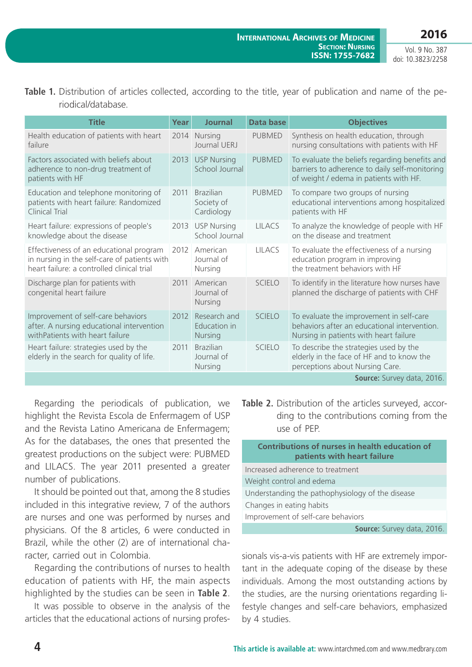| Table 1. Distribution of articles collected, according to the title, year of publication and name of the pe- |  |  |  |  |  |  |  |
|--------------------------------------------------------------------------------------------------------------|--|--|--|--|--|--|--|
| riodical/database.                                                                                           |  |  |  |  |  |  |  |

| <b>Title</b>                                                                                                                          | Year | Journal                                        | Data base     | <b>Objectives</b>                                                                                                                          |
|---------------------------------------------------------------------------------------------------------------------------------------|------|------------------------------------------------|---------------|--------------------------------------------------------------------------------------------------------------------------------------------|
| Health education of patients with heart<br>failure                                                                                    |      | 2014 Nursing<br>Journal UFRI                   | <b>PUBMED</b> | Synthesis on health education, through<br>nursing consultations with patients with HF                                                      |
| Factors associated with beliefs about<br>adherence to non-drug treatment of<br>patients with HF                                       | 2013 | <b>USP Nursing</b><br>School Journal           | <b>PUBMED</b> | To evaluate the beliefs regarding benefits and<br>barriers to adherence to daily self-monitoring<br>of weight / edema in patients with HF. |
| Education and telephone monitoring of<br>patients with heart failure: Randomized<br><b>Clinical Trial</b>                             | 2011 | <b>Brazilian</b><br>Society of<br>Cardiology   | <b>PUBMED</b> | To compare two groups of nursing<br>educational interventions among hospitalized<br>patients with HF                                       |
| Heart failure: expressions of people's<br>knowledge about the disease                                                                 | 2013 | <b>USP Nursing</b><br>School Journal           | <b>LILACS</b> | To analyze the knowledge of people with HF<br>on the disease and treatment                                                                 |
| Effectiveness of an educational program<br>in nursing in the self-care of patients with<br>heart failure: a controlled clinical trial | 2012 | American<br>Journal of<br>Nursing              | <b>LILACS</b> | To evaluate the effectiveness of a nursing<br>education program in improving<br>the treatment behaviors with HF                            |
| Discharge plan for patients with<br>congenital heart failure                                                                          | 2011 | American<br>Journal of<br>Nursing              | <b>SCIELO</b> | To identify in the literature how nurses have<br>planned the discharge of patients with CHF                                                |
| Improvement of self-care behaviors<br>after. A nursing educational intervention<br>withPatients with heart failure                    | 2012 | Research and<br>Education in<br><b>Nursing</b> | SCIFLO        | To evaluate the improvement in self-care<br>behaviors after an educational intervention.<br>Nursing in patients with heart failure         |
| Heart failure: strategies used by the<br>elderly in the search for quality of life.                                                   | 2011 | <b>Brazilian</b><br>Journal of<br>Nursing      | <b>SCIELO</b> | To describe the strategies used by the<br>elderly in the face of HF and to know the<br>perceptions about Nursing Care.                     |
|                                                                                                                                       |      |                                                |               | Source: Survey data, 2016.                                                                                                                 |

Regarding the periodicals of publication, we highlight the Revista Escola de Enfermagem of USP and the Revista Latino Americana de Enfermagem; As for the databases, the ones that presented the greatest productions on the subject were: PUBMED and LILACS. The year 2011 presented a greater number of publications.

It should be pointed out that, among the 8 studies included in this integrative review, 7 of the authors are nurses and one was performed by nurses and physicians. Of the 8 articles, 6 were conducted in Brazil, while the other (2) are of international character, carried out in Colombia.

Regarding the contributions of nurses to health education of patients with HF, the main aspects highlighted by the studies can be seen in **Table 2**.

It was possible to observe in the analysis of the articles that the educational actions of nursing profes**Table 2.** Distribution of the articles surveyed, according to the contributions coming from the use of PEP.

**Contributions of nurses in health education of patients with heart failure**

| Increased adherence to treatment                 |  |  |  |  |
|--------------------------------------------------|--|--|--|--|
| Weight control and edema                         |  |  |  |  |
| Understanding the pathophysiology of the disease |  |  |  |  |
| Changes in eating habits                         |  |  |  |  |
| Improvement of self-care behaviors               |  |  |  |  |
| Source: Survey data, 2016.                       |  |  |  |  |

sionals vis-a-vis patients with HF are extremely important in the adequate coping of the disease by these individuals. Among the most outstanding actions by the studies, are the nursing orientations regarding lifestyle changes and self-care behaviors, emphasized by 4 studies.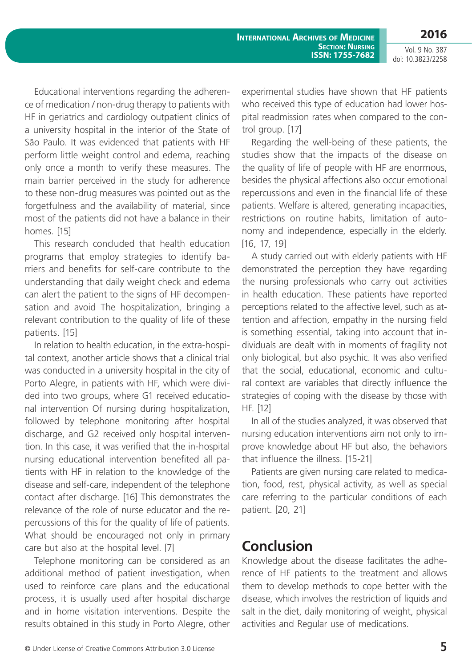Educational interventions regarding the adherence of medication / non-drug therapy to patients with HF in geriatrics and cardiology outpatient clinics of a university hospital in the interior of the State of São Paulo. It was evidenced that patients with HF perform little weight control and edema, reaching only once a month to verify these measures. The main barrier perceived in the study for adherence to these non-drug measures was pointed out as the forgetfulness and the availability of material, since most of the patients did not have a balance in their homes. [15]

This research concluded that health education programs that employ strategies to identify barriers and benefits for self-care contribute to the understanding that daily weight check and edema can alert the patient to the signs of HF decompensation and avoid The hospitalization, bringing a relevant contribution to the quality of life of these patients. [15]

In relation to health education, in the extra-hospital context, another article shows that a clinical trial was conducted in a university hospital in the city of Porto Alegre, in patients with HF, which were divided into two groups, where G1 received educational intervention Of nursing during hospitalization, followed by telephone monitoring after hospital discharge, and G2 received only hospital intervention. In this case, it was verified that the in-hospital nursing educational intervention benefited all patients with HF in relation to the knowledge of the disease and self-care, independent of the telephone contact after discharge. [16] This demonstrates the relevance of the role of nurse educator and the repercussions of this for the quality of life of patients. What should be encouraged not only in primary care but also at the hospital level. [7]

Telephone monitoring can be considered as an additional method of patient investigation, when used to reinforce care plans and the educational process, it is usually used after hospital discharge and in home visitation interventions. Despite the results obtained in this study in Porto Alegre, other experimental studies have shown that HF patients who received this type of education had lower hospital readmission rates when compared to the control group. [17]

Regarding the well-being of these patients, the studies show that the impacts of the disease on the quality of life of people with HF are enormous, besides the physical affections also occur emotional repercussions and even in the financial life of these patients. Welfare is altered, generating incapacities, restrictions on routine habits, limitation of autonomy and independence, especially in the elderly. [16, 17, 19]

A study carried out with elderly patients with HF demonstrated the perception they have regarding the nursing professionals who carry out activities in health education. These patients have reported perceptions related to the affective level, such as attention and affection, empathy in the nursing field is something essential, taking into account that individuals are dealt with in moments of fragility not only biological, but also psychic. It was also verified that the social, educational, economic and cultural context are variables that directly influence the strategies of coping with the disease by those with HF. [12]

In all of the studies analyzed, it was observed that nursing education interventions aim not only to improve knowledge about HF but also, the behaviors that influence the illness. [15-21]

Patients are given nursing care related to medication, food, rest, physical activity, as well as special care referring to the particular conditions of each patient. [20, 21]

### **Conclusion**

Knowledge about the disease facilitates the adherence of HF patients to the treatment and allows them to develop methods to cope better with the disease, which involves the restriction of liquids and salt in the diet, daily monitoring of weight, physical activities and Regular use of medications.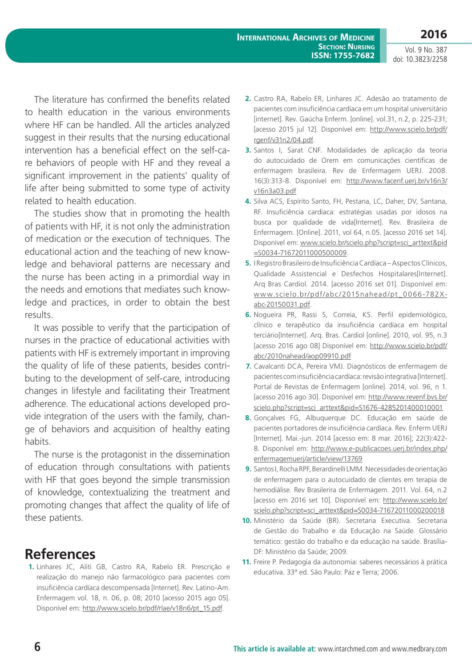The literature has confirmed the benefits related to health education in the various environments where HF can be handled. All the articles analyzed suggest in their results that the nursing educational intervention has a beneficial effect on the self-care behaviors of people with HF and they reveal a significant improvement in the patients' quality of life after being submitted to some type of activity related to health education.

The studies show that in promoting the health of patients with HF, it is not only the administration of medication or the execution of techniques. The educational action and the teaching of new knowledge and behavioral patterns are necessary and the nurse has been acting in a primordial way in the needs and emotions that mediates such knowledge and practices, in order to obtain the best results.

It was possible to verify that the participation of nurses in the practice of educational activities with patients with HF is extremely important in improving the quality of life of these patients, besides contributing to the development of self-care, introducing changes in lifestyle and facilitating their Treatment adherence. The educational actions developed provide integration of the users with the family, change of behaviors and acquisition of healthy eating habits.

The nurse is the protagonist in the dissemination of education through consultations with patients with HF that goes beyond the simple transmission of knowledge, contextualizing the treatment and promoting changes that affect the quality of life of these patients.

#### **References**

**1.** Linhares JC, Aliti GB, Castro RA, Rabelo ER. Prescrição e realização do manejo não farmacológico para pacientes com insuficiência cardíaca descompensada [Internet]. Rev. Latino-Am. Enfermagem vol. 18, n. 06, p. 08; 2010 [acesso 2015 ago 05]. Disponível em: [http://www.scielo.br/pdf/rlae/v18n6/pt\\_15.pdf](http://www.scielo.br/pdf/rlae/v18n6/pt_15.pdf).

- **2.** Castro RA, Rabelo ER, Linhares JC. Adesão ao tratamento de pacientes com insuficiência cardíaca em um hospital universitário [internet]. Rev. Gaúcha Enferm. [online]. vol.31, n.2, p. 225-231; [acesso 2015 jul 12]. Disponível em: [http://www.scielo.br/pdf/](http://www.scielo.br/pdf/rgenf/v31n2/04.pdf) [rgenf/v31n2/04.pdf.](http://www.scielo.br/pdf/rgenf/v31n2/04.pdf)
- **3.** Santos I, Sarat CNF. Modalidades de aplicação da teoria do autocuidado de Orem em comunicações científicas de enfermagem brasileira. Rev de Enfermagem UERJ. 2008. 16(3):313-8. Disponível em: [http://www.facenf.uerj.br/v16n3/](http://www.facenf.uerj.br/v16n3/v16n3a03.pdf) [v16n3a03.pdf](http://www.facenf.uerj.br/v16n3/v16n3a03.pdf)
- **4.** Silva ACS, Espírito Santo, FH, Pestana, LC, Daher, DV, Santana, RF. Insuficiência cardíaca: estratégias usadas por idosos na busca por qualidade de vida[Internet]. Rev. Brasileira de Enfermagem. [Online]. 2011, vol 64, n.05. [acesso 2016 set 14]. Disponível em: [www.scielo.br/scielo.php?script=sci\\_arttext&pid](www.scielo.br/scielo.php?script=sci_arttext&pid=S0034-71672011000500009) [=S0034-71672011000500009](www.scielo.br/scielo.php?script=sci_arttext&pid=S0034-71672011000500009).
- **5.** I Registro Brasileiro de Insuficiência Cardíaca Aspectos Clínicos, Qualidade Assistencial e Desfechos Hospitalares[Internet]. Arq Bras Cardiol. 2014. [acesso 2016 set 01]. Disponível em: [www.scielo.br/pdf/abc/2015nahead/pt\\_0066-782X](www.scielo.br/pdf/abc/2015nahead/pt_0066-782X-abc-20150031.pdf)[abc-20150031.pdf](www.scielo.br/pdf/abc/2015nahead/pt_0066-782X-abc-20150031.pdf).
- **6.** Nogueira PR, Rassi S, Correia, KS. Perfil epidemiológico, clínico e terapêutico da insuficiência cardíaca em hospital terciário[Internet]. Arq. Bras. Cardiol [online]. 2010, vol. 95, n.3 [acesso 2016 ago 08] Disponível em: [http://www.scielo.br/pdf/](http://www.scielo.br/pdf/abc/2010nahead/aop09910.pdf) [abc/2010nahead/aop09910.pdf](http://www.scielo.br/pdf/abc/2010nahead/aop09910.pdf)
- **7.** Cavalcanti DCA, Pereira VMJ. Diagnósticos de enfermagem de pacientes com insuficiência cardíaca: revisão integrativa [Internet]. Portal de Revistas de Enfermagem [online]. 2014, vol. 96, n 1. [acesso 2016 ago 30]. Disponível em: [http://www.revenf.bvs.br/](http://www.revenf.bvs.br/scielo.php?script=sci_arttext&pid=S1676-4285201400010001) [scielo.php?script=sci\\_arttext&pid=S1676-4285201400010001](http://www.revenf.bvs.br/scielo.php?script=sci_arttext&pid=S1676-4285201400010001)
- **8.** Gonçalves FG, Albuquerque DC. Educação em saúde de pacientes portadores de insuficiência cardíaca. Rev. Enferm UERJ [Internet]. Mai.-jun. 2014 [acesso em: 8 mar. 2016]; 22(3):422- 8. Disponível em: [http://www.e-publicacoes.uerj.br/index.php/](http://www.e-publicacoes.uerj.br/index.php/enfermagemuerj/article/view/13769) [enfermagemuerj/article/view/13769](http://www.e-publicacoes.uerj.br/index.php/enfermagemuerj/article/view/13769)
- **9.** Santos I, Rocha RPF, Berardinelli LMM. Necessidades de orientação de enfermagem para o autocuidado de clientes em terapia de hemodiálise. Rev Brasilerira de Enfermagem. 2011. Vol. 64, n.2 [acesso em 2016 set 10]. Disponível em: [http://www.scielo.br/](http://www.scielo.br/scielo.php?script=sci_arttext&pid=S0034-71672011000200018) [scielo.php?script=sci\\_arttext&pid=S0034-71672011000200018](http://www.scielo.br/scielo.php?script=sci_arttext&pid=S0034-71672011000200018)
- **10.** Ministério da Saúde (BR). Secretaria Executiva. Secretaria de Gestão do Trabalho e da Educação na Saúde. Glossário temático: gestão do trabalho e da educação na saúde. Brasília-DF: Ministério da Saúde; 2009.
- **11.** Freire P. Pedagogia da autonomia: saberes necessários à prática educativa. 33ª ed. São Paulo: Paz e Terra; 2006.